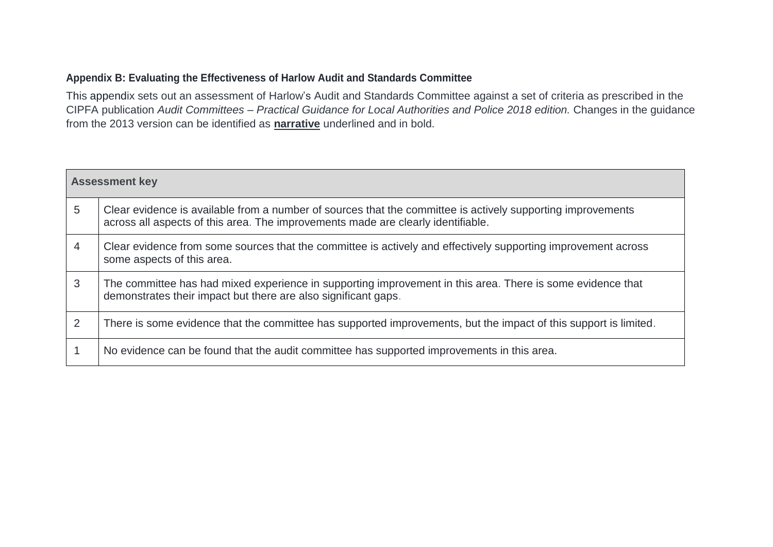## **Appendix B: Evaluating the Effectiveness of Harlow Audit and Standards Committee**

This appendix sets out an assessment of Harlow's Audit and Standards Committee against a set of criteria as prescribed in the CIPFA publication *Audit Committees – Practical Guidance for Local Authorities and Police 2018 edition.* Changes in the guidance from the 2013 version can be identified as **narrative** underlined and in bold.

| <b>Assessment key</b> |                                                                                                                                                                                                 |  |
|-----------------------|-------------------------------------------------------------------------------------------------------------------------------------------------------------------------------------------------|--|
| 5                     | Clear evidence is available from a number of sources that the committee is actively supporting improvements<br>across all aspects of this area. The improvements made are clearly identifiable. |  |
| 4                     | Clear evidence from some sources that the committee is actively and effectively supporting improvement across<br>some aspects of this area.                                                     |  |
| 3                     | The committee has had mixed experience in supporting improvement in this area. There is some evidence that<br>demonstrates their impact but there are also significant gaps.                    |  |
| 2                     | There is some evidence that the committee has supported improvements, but the impact of this support is limited.                                                                                |  |
|                       | No evidence can be found that the audit committee has supported improvements in this area.                                                                                                      |  |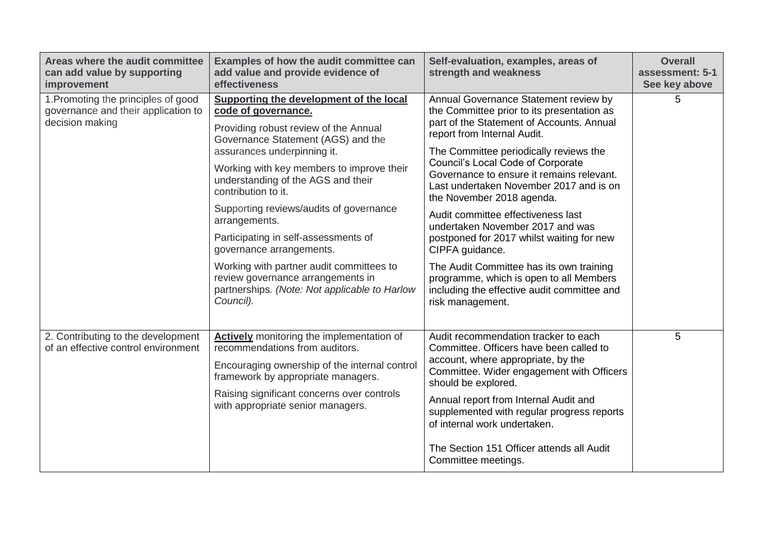| Areas where the audit committee<br>can add value by supporting<br>improvement                 | Examples of how the audit committee can<br>add value and provide evidence of<br>effectiveness                                                                                                                                                                                                                                                                                                                                                                                                                                                                         | Self-evaluation, examples, areas of<br>strength and weakness                                                                                                                                                                                                                                                                                                                                                                                                                                                                                                                                                                                                                   | <b>Overall</b><br>assessment: 5-1<br>See key above |
|-----------------------------------------------------------------------------------------------|-----------------------------------------------------------------------------------------------------------------------------------------------------------------------------------------------------------------------------------------------------------------------------------------------------------------------------------------------------------------------------------------------------------------------------------------------------------------------------------------------------------------------------------------------------------------------|--------------------------------------------------------------------------------------------------------------------------------------------------------------------------------------------------------------------------------------------------------------------------------------------------------------------------------------------------------------------------------------------------------------------------------------------------------------------------------------------------------------------------------------------------------------------------------------------------------------------------------------------------------------------------------|----------------------------------------------------|
| 1. Promoting the principles of good<br>governance and their application to<br>decision making | Supporting the development of the local<br>code of governance.<br>Providing robust review of the Annual<br>Governance Statement (AGS) and the<br>assurances underpinning it.<br>Working with key members to improve their<br>understanding of the AGS and their<br>contribution to it.<br>Supporting reviews/audits of governance<br>arrangements.<br>Participating in self-assessments of<br>governance arrangements.<br>Working with partner audit committees to<br>review governance arrangements in<br>partnerships. (Note: Not applicable to Harlow<br>Council). | Annual Governance Statement review by<br>the Committee prior to its presentation as<br>part of the Statement of Accounts. Annual<br>report from Internal Audit.<br>The Committee periodically reviews the<br><b>Council's Local Code of Corporate</b><br>Governance to ensure it remains relevant.<br>Last undertaken November 2017 and is on<br>the November 2018 agenda.<br>Audit committee effectiveness last<br>undertaken November 2017 and was<br>postponed for 2017 whilst waiting for new<br>CIPFA guidance.<br>The Audit Committee has its own training<br>programme, which is open to all Members<br>including the effective audit committee and<br>risk management. | 5                                                  |
| 2. Contributing to the development<br>of an effective control environment                     | <b>Actively</b> monitoring the implementation of<br>recommendations from auditors.<br>Encouraging ownership of the internal control<br>framework by appropriate managers.<br>Raising significant concerns over controls<br>with appropriate senior managers.                                                                                                                                                                                                                                                                                                          | Audit recommendation tracker to each<br>Committee. Officers have been called to<br>account, where appropriate, by the<br>Committee. Wider engagement with Officers<br>should be explored.<br>Annual report from Internal Audit and<br>supplemented with regular progress reports<br>of internal work undertaken.<br>The Section 151 Officer attends all Audit<br>Committee meetings.                                                                                                                                                                                                                                                                                           | 5                                                  |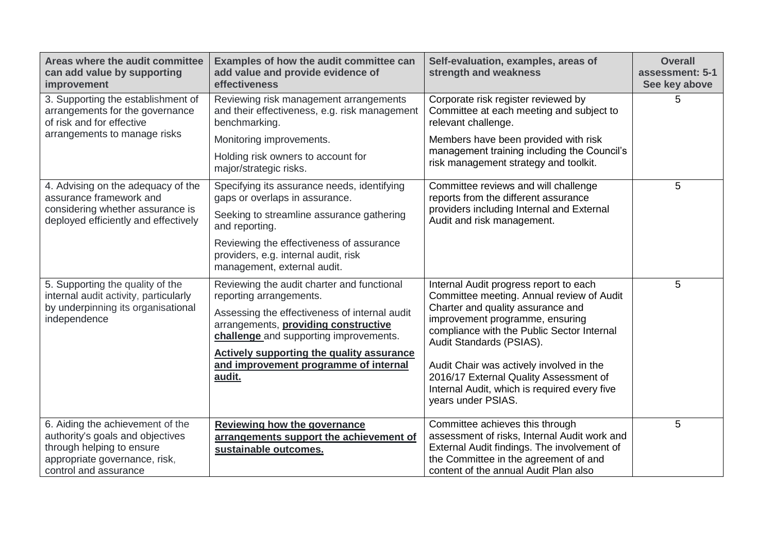| Areas where the audit committee<br>can add value by supporting<br>improvement                                                                               | Examples of how the audit committee can<br>add value and provide evidence of<br>effectiveness                                                              | Self-evaluation, examples, areas of<br>strength and weakness                                                                                                                                                     | <b>Overall</b><br>assessment: 5-1<br>See key above |
|-------------------------------------------------------------------------------------------------------------------------------------------------------------|------------------------------------------------------------------------------------------------------------------------------------------------------------|------------------------------------------------------------------------------------------------------------------------------------------------------------------------------------------------------------------|----------------------------------------------------|
| 3. Supporting the establishment of<br>arrangements for the governance<br>of risk and for effective                                                          | Reviewing risk management arrangements<br>and their effectiveness, e.g. risk management<br>benchmarking.                                                   | Corporate risk register reviewed by<br>Committee at each meeting and subject to<br>relevant challenge.                                                                                                           | 5                                                  |
| arrangements to manage risks                                                                                                                                | Monitoring improvements.                                                                                                                                   | Members have been provided with risk                                                                                                                                                                             |                                                    |
|                                                                                                                                                             | Holding risk owners to account for<br>major/strategic risks.                                                                                               | management training including the Council's<br>risk management strategy and toolkit.                                                                                                                             |                                                    |
| 4. Advising on the adequacy of the<br>assurance framework and                                                                                               | Specifying its assurance needs, identifying<br>gaps or overlaps in assurance.                                                                              | Committee reviews and will challenge<br>reports from the different assurance                                                                                                                                     | 5                                                  |
| considering whether assurance is<br>deployed efficiently and effectively                                                                                    | Seeking to streamline assurance gathering<br>and reporting.                                                                                                | providers including Internal and External<br>Audit and risk management.                                                                                                                                          |                                                    |
|                                                                                                                                                             | Reviewing the effectiveness of assurance<br>providers, e.g. internal audit, risk<br>management, external audit.                                            |                                                                                                                                                                                                                  |                                                    |
| 5. Supporting the quality of the                                                                                                                            | Reviewing the audit charter and functional                                                                                                                 | Internal Audit progress report to each                                                                                                                                                                           | 5                                                  |
| internal audit activity, particularly<br>by underpinning its organisational<br>independence                                                                 | reporting arrangements.<br>Assessing the effectiveness of internal audit<br>arrangements, providing constructive<br>challenge and supporting improvements. | Committee meeting. Annual review of Audit<br>Charter and quality assurance and<br>improvement programme, ensuring<br>compliance with the Public Sector Internal<br>Audit Standards (PSIAS).                      |                                                    |
|                                                                                                                                                             | <b>Actively supporting the quality assurance</b><br>and improvement programme of internal<br>audit.                                                        | Audit Chair was actively involved in the<br>2016/17 External Quality Assessment of<br>Internal Audit, which is required every five<br>years under PSIAS.                                                         |                                                    |
| 6. Aiding the achievement of the<br>authority's goals and objectives<br>through helping to ensure<br>appropriate governance, risk,<br>control and assurance | Reviewing how the governance<br>arrangements support the achievement of<br>sustainable outcomes.                                                           | Committee achieves this through<br>assessment of risks, Internal Audit work and<br>External Audit findings. The involvement of<br>the Committee in the agreement of and<br>content of the annual Audit Plan also | 5                                                  |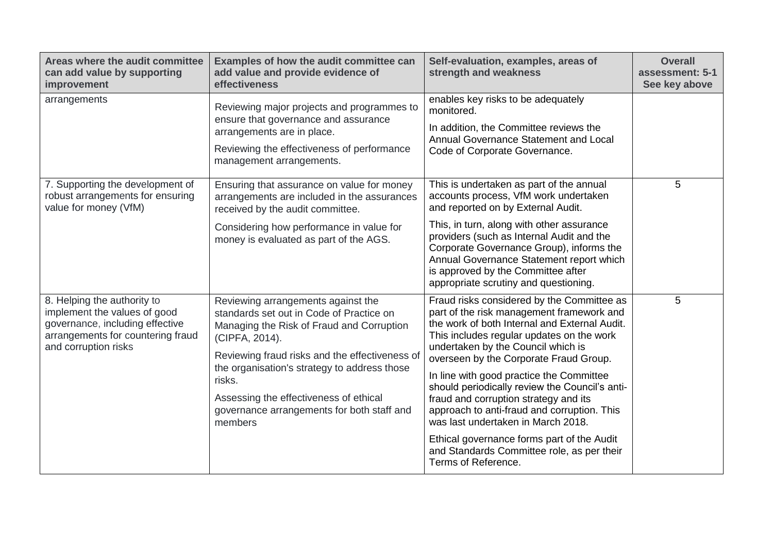| Areas where the audit committee<br>can add value by supporting<br>improvement                                                                               | Examples of how the audit committee can<br>add value and provide evidence of<br>effectiveness                                                                                                                                                                                                                                                                | Self-evaluation, examples, areas of<br>strength and weakness                                                                                                                                                                                                                                                                                                                                                                                                                                                                                                                                                         | <b>Overall</b><br>assessment: 5-1<br>See key above |
|-------------------------------------------------------------------------------------------------------------------------------------------------------------|--------------------------------------------------------------------------------------------------------------------------------------------------------------------------------------------------------------------------------------------------------------------------------------------------------------------------------------------------------------|----------------------------------------------------------------------------------------------------------------------------------------------------------------------------------------------------------------------------------------------------------------------------------------------------------------------------------------------------------------------------------------------------------------------------------------------------------------------------------------------------------------------------------------------------------------------------------------------------------------------|----------------------------------------------------|
| arrangements                                                                                                                                                | Reviewing major projects and programmes to<br>ensure that governance and assurance<br>arrangements are in place.<br>Reviewing the effectiveness of performance<br>management arrangements.                                                                                                                                                                   | enables key risks to be adequately<br>monitored.<br>In addition, the Committee reviews the<br>Annual Governance Statement and Local<br>Code of Corporate Governance.                                                                                                                                                                                                                                                                                                                                                                                                                                                 |                                                    |
| 7. Supporting the development of<br>robust arrangements for ensuring<br>value for money (VfM)                                                               | Ensuring that assurance on value for money<br>arrangements are included in the assurances<br>received by the audit committee.<br>Considering how performance in value for<br>money is evaluated as part of the AGS.                                                                                                                                          | This is undertaken as part of the annual<br>accounts process, VfM work undertaken<br>and reported on by External Audit.<br>This, in turn, along with other assurance<br>providers (such as Internal Audit and the<br>Corporate Governance Group), informs the<br>Annual Governance Statement report which<br>is approved by the Committee after<br>appropriate scrutiny and questioning.                                                                                                                                                                                                                             | 5                                                  |
| 8. Helping the authority to<br>implement the values of good<br>governance, including effective<br>arrangements for countering fraud<br>and corruption risks | Reviewing arrangements against the<br>standards set out in Code of Practice on<br>Managing the Risk of Fraud and Corruption<br>(CIPFA, 2014).<br>Reviewing fraud risks and the effectiveness of<br>the organisation's strategy to address those<br>risks.<br>Assessing the effectiveness of ethical<br>governance arrangements for both staff and<br>members | Fraud risks considered by the Committee as<br>part of the risk management framework and<br>the work of both Internal and External Audit.<br>This includes regular updates on the work<br>undertaken by the Council which is<br>overseen by the Corporate Fraud Group.<br>In line with good practice the Committee<br>should periodically review the Council's anti-<br>fraud and corruption strategy and its<br>approach to anti-fraud and corruption. This<br>was last undertaken in March 2018.<br>Ethical governance forms part of the Audit<br>and Standards Committee role, as per their<br>Terms of Reference. | 5                                                  |